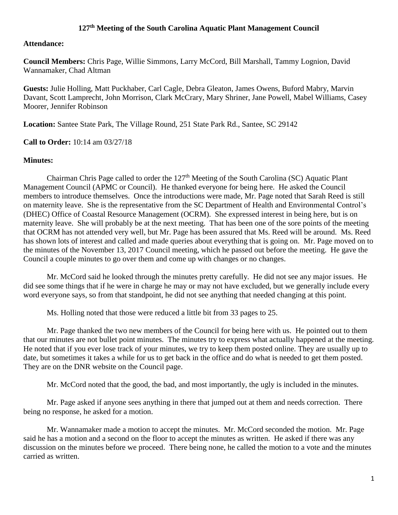## **127th Meeting of the South Carolina Aquatic Plant Management Council**

## **Attendance:**

**Council Members:** Chris Page, Willie Simmons, Larry McCord, Bill Marshall, Tammy Lognion, David Wannamaker, Chad Altman

**Guests:** Julie Holling, Matt Puckhaber, Carl Cagle, Debra Gleaton, James Owens, Buford Mabry, Marvin Davant, Scott Lamprecht, John Morrison, Clark McCrary, Mary Shriner, Jane Powell, Mabel Williams, Casey Moorer, Jennifer Robinson

**Location:** Santee State Park, The Village Round, 251 State Park Rd., Santee, SC 29142

**Call to Order:** 10:14 am 03/27/18

## **Minutes:**

Chairman Chris Page called to order the 127<sup>th</sup> Meeting of the South Carolina (SC) Aquatic Plant Management Council (APMC or Council). He thanked everyone for being here. He asked the Council members to introduce themselves. Once the introductions were made, Mr. Page noted that Sarah Reed is still on maternity leave. She is the representative from the SC Department of Health and Environmental Control's (DHEC) Office of Coastal Resource Management (OCRM). She expressed interest in being here, but is on maternity leave. She will probably be at the next meeting. That has been one of the sore points of the meeting that OCRM has not attended very well, but Mr. Page has been assured that Ms. Reed will be around. Ms. Reed has shown lots of interest and called and made queries about everything that is going on. Mr. Page moved on to the minutes of the November 13, 2017 Council meeting, which he passed out before the meeting. He gave the Council a couple minutes to go over them and come up with changes or no changes.

Mr. McCord said he looked through the minutes pretty carefully. He did not see any major issues. He did see some things that if he were in charge he may or may not have excluded, but we generally include every word everyone says, so from that standpoint, he did not see anything that needed changing at this point.

Ms. Holling noted that those were reduced a little bit from 33 pages to 25.

Mr. Page thanked the two new members of the Council for being here with us. He pointed out to them that our minutes are not bullet point minutes. The minutes try to express what actually happened at the meeting. He noted that if you ever lose track of your minutes, we try to keep them posted online. They are usually up to date, but sometimes it takes a while for us to get back in the office and do what is needed to get them posted. They are on the DNR website on the Council page.

Mr. McCord noted that the good, the bad, and most importantly, the ugly is included in the minutes.

Mr. Page asked if anyone sees anything in there that jumped out at them and needs correction. There being no response, he asked for a motion.

Mr. Wannamaker made a motion to accept the minutes. Mr. McCord seconded the motion. Mr. Page said he has a motion and a second on the floor to accept the minutes as written. He asked if there was any discussion on the minutes before we proceed. There being none, he called the motion to a vote and the minutes carried as written.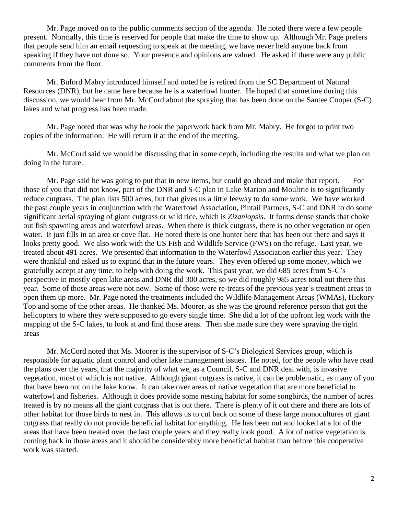Mr. Page moved on to the public comments section of the agenda. He noted there were a few people present. Normally, this time is reserved for people that make the time to show up. Although Mr. Page prefers that people send him an email requesting to speak at the meeting, we have never held anyone back from speaking if they have not done so. Your presence and opinions are valued. He asked if there were any public comments from the floor.

Mr. Buford Mabry introduced himself and noted he is retired from the SC Department of Natural Resources (DNR), but he came here because he is a waterfowl hunter. He hoped that sometime during this discussion, we would hear from Mr. McCord about the spraying that has been done on the Santee Cooper (S-C) lakes and what progress has been made.

Mr. Page noted that was why he took the paperwork back from Mr. Mabry. He forgot to print two copies of the information. He will return it at the end of the meeting.

Mr. McCord said we would be discussing that in some depth, including the results and what we plan on doing in the future.

Mr. Page said he was going to put that in new items, but could go ahead and make that report. For those of you that did not know, part of the DNR and S-C plan in Lake Marion and Moultrie is to significantly reduce cutgrass. The plan lists 500 acres, but that gives us a little leeway to do some work. We have worked the past couple years in conjunction with the Waterfowl Association, Pintail Partners, S-C and DNR to do some significant aerial spraying of giant cutgrass or wild rice, which is *Zizaniopsis*. It forms dense stands that choke out fish spawning areas and waterfowl areas. When there is thick cutgrass, there is no other vegetation or open water. It just fills in an area or cove flat. He noted there is one hunter here that has been out there and says it looks pretty good. We also work with the US Fish and Wildlife Service (FWS) on the refuge. Last year, we treated about 491 acres. We presented that information to the Waterfowl Association earlier this year. They were thankful and asked us to expand that in the future years. They even offered up some money, which we gratefully accept at any time, to help with doing the work. This past year, we did 685 acres from S-C's perspective in mostly open lake areas and DNR did 300 acres, so we did roughly 985 acres total out there this year. Some of those areas were not new. Some of those were re-treats of the previous year's treatment areas to open them up more. Mr. Page noted the treatments included the Wildlife Management Areas (WMAs), Hickory Top and some of the other areas. He thanked Ms. Moorer, as she was the ground reference person that got the helicopters to where they were supposed to go every single time. She did a lot of the upfront leg work with the mapping of the S-C lakes, to look at and find those areas. Then she made sure they were spraying the right areas

Mr. McCord noted that Ms. Moorer is the supervisor of S-C's Biological Services group, which is responsible for aquatic plant control and other lake management issues. He noted, for the people who have read the plans over the years, that the majority of what we, as a Council, S-C and DNR deal with, is invasive vegetation, most of which is not native. Although giant cutgrass is native, it can be problematic, as many of you that have been out on the lake know. It can take over areas of native vegetation that are more beneficial to waterfowl and fisheries. Although it does provide some nesting habitat for some songbirds, the number of acres treated is by no means all the giant cutgrass that is out there. There is plenty of it out there and there are lots of other habitat for those birds to nest in. This allows us to cut back on some of these large monocultures of giant cutgrass that really do not provide beneficial habitat for anything. He has been out and looked at a lot of the areas that have been treated over the last couple years and they really look good. A lot of native vegetation is coming back in those areas and it should be considerably more beneficial habitat than before this cooperative work was started.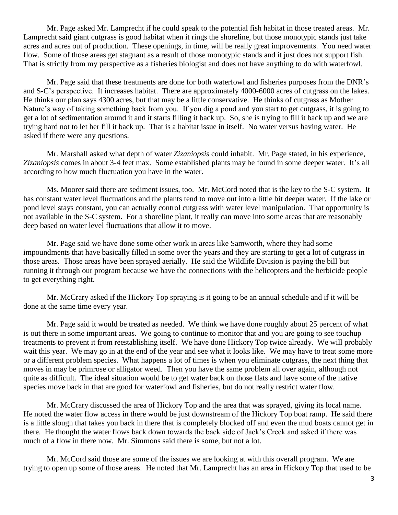Mr. Page asked Mr. Lamprecht if he could speak to the potential fish habitat in those treated areas. Mr. Lamprecht said giant cutgrass is good habitat when it rings the shoreline, but those monotypic stands just take acres and acres out of production. These openings, in time, will be really great improvements. You need water flow. Some of those areas get stagnant as a result of those monotypic stands and it just does not support fish. That is strictly from my perspective as a fisheries biologist and does not have anything to do with waterfowl.

Mr. Page said that these treatments are done for both waterfowl and fisheries purposes from the DNR's and S-C's perspective. It increases habitat. There are approximately 4000-6000 acres of cutgrass on the lakes. He thinks our plan says 4300 acres, but that may be a little conservative. He thinks of cutgrass as Mother Nature's way of taking something back from you. If you dig a pond and you start to get cutgrass, it is going to get a lot of sedimentation around it and it starts filling it back up. So, she is trying to fill it back up and we are trying hard not to let her fill it back up. That is a habitat issue in itself. No water versus having water. He asked if there were any questions.

Mr. Marshall asked what depth of water *Zizaniopsis* could inhabit. Mr. Page stated, in his experience, *Zizaniopsis* comes in about 3-4 feet max. Some established plants may be found in some deeper water. It's all according to how much fluctuation you have in the water.

Ms. Moorer said there are sediment issues, too. Mr. McCord noted that is the key to the S-C system. It has constant water level fluctuations and the plants tend to move out into a little bit deeper water. If the lake or pond level stays constant, you can actually control cutgrass with water level manipulation. That opportunity is not available in the S-C system. For a shoreline plant, it really can move into some areas that are reasonably deep based on water level fluctuations that allow it to move.

Mr. Page said we have done some other work in areas like Samworth, where they had some impoundments that have basically filled in some over the years and they are starting to get a lot of cutgrass in those areas. Those areas have been sprayed aerially. He said the Wildlife Division is paying the bill but running it through our program because we have the connections with the helicopters and the herbicide people to get everything right.

Mr. McCrary asked if the Hickory Top spraying is it going to be an annual schedule and if it will be done at the same time every year.

Mr. Page said it would be treated as needed. We think we have done roughly about 25 percent of what is out there in some important areas. We going to continue to monitor that and you are going to see touchup treatments to prevent it from reestablishing itself. We have done Hickory Top twice already. We will probably wait this year. We may go in at the end of the year and see what it looks like. We may have to treat some more or a different problem species. What happens a lot of times is when you eliminate cutgrass, the next thing that moves in may be primrose or alligator weed. Then you have the same problem all over again, although not quite as difficult. The ideal situation would be to get water back on those flats and have some of the native species move back in that are good for waterfowl and fisheries, but do not really restrict water flow.

Mr. McCrary discussed the area of Hickory Top and the area that was sprayed, giving its local name. He noted the water flow access in there would be just downstream of the Hickory Top boat ramp. He said there is a little slough that takes you back in there that is completely blocked off and even the mud boats cannot get in there. He thought the water flows back down towards the back side of Jack's Creek and asked if there was much of a flow in there now. Mr. Simmons said there is some, but not a lot.

Mr. McCord said those are some of the issues we are looking at with this overall program. We are trying to open up some of those areas. He noted that Mr. Lamprecht has an area in Hickory Top that used to be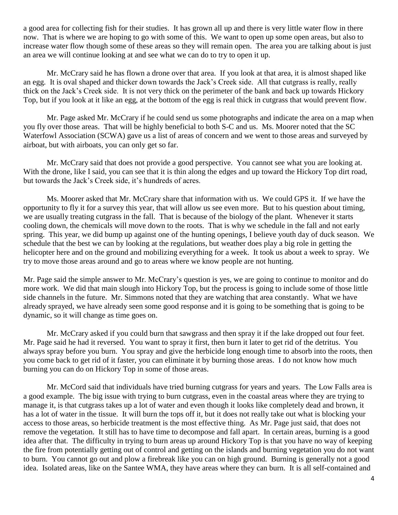a good area for collecting fish for their studies. It has grown all up and there is very little water flow in there now. That is where we are hoping to go with some of this. We want to open up some open areas, but also to increase water flow though some of these areas so they will remain open. The area you are talking about is just an area we will continue looking at and see what we can do to try to open it up.

Mr. McCrary said he has flown a drone over that area. If you look at that area, it is almost shaped like an egg. It is oval shaped and thicker down towards the Jack's Creek side. All that cutgrass is really, really thick on the Jack's Creek side. It is not very thick on the perimeter of the bank and back up towards Hickory Top, but if you look at it like an egg, at the bottom of the egg is real thick in cutgrass that would prevent flow.

Mr. Page asked Mr. McCrary if he could send us some photographs and indicate the area on a map when you fly over those areas. That will be highly beneficial to both S-C and us. Ms. Moorer noted that the SC Waterfowl Association (SCWA) gave us a list of areas of concern and we went to those areas and surveyed by airboat, but with airboats, you can only get so far.

Mr. McCrary said that does not provide a good perspective. You cannot see what you are looking at. With the drone, like I said, you can see that it is thin along the edges and up toward the Hickory Top dirt road, but towards the Jack's Creek side, it's hundreds of acres.

Ms. Moorer asked that Mr. McCrary share that information with us. We could GPS it. If we have the opportunity to fly it for a survey this year, that will allow us see even more. But to his question about timing, we are usually treating cutgrass in the fall. That is because of the biology of the plant. Whenever it starts cooling down, the chemicals will move down to the roots. That is why we schedule in the fall and not early spring. This year, we did bump up against one of the hunting openings, I believe youth day of duck season. We schedule that the best we can by looking at the regulations, but weather does play a big role in getting the helicopter here and on the ground and mobilizing everything for a week. It took us about a week to spray. We try to move those areas around and go to areas where we know people are not hunting.

Mr. Page said the simple answer to Mr. McCrary's question is yes, we are going to continue to monitor and do more work. We did that main slough into Hickory Top, but the process is going to include some of those little side channels in the future. Mr. Simmons noted that they are watching that area constantly. What we have already sprayed, we have already seen some good response and it is going to be something that is going to be dynamic, so it will change as time goes on.

Mr. McCrary asked if you could burn that sawgrass and then spray it if the lake dropped out four feet. Mr. Page said he had it reversed. You want to spray it first, then burn it later to get rid of the detritus. You always spray before you burn. You spray and give the herbicide long enough time to absorb into the roots, then you come back to get rid of it faster, you can eliminate it by burning those areas. I do not know how much burning you can do on Hickory Top in some of those areas.

Mr. McCord said that individuals have tried burning cutgrass for years and years. The Low Falls area is a good example. The big issue with trying to burn cutgrass, even in the coastal areas where they are trying to manage it, is that cutgrass takes up a lot of water and even though it looks like completely dead and brown, it has a lot of water in the tissue. It will burn the tops off it, but it does not really take out what is blocking your access to those areas, so herbicide treatment is the most effective thing. As Mr. Page just said, that does not remove the vegetation. It still has to have time to decompose and fall apart. In certain areas, burning is a good idea after that. The difficulty in trying to burn areas up around Hickory Top is that you have no way of keeping the fire from potentially getting out of control and getting on the islands and burning vegetation you do not want to burn. You cannot go out and plow a firebreak like you can on high ground. Burning is generally not a good idea. Isolated areas, like on the Santee WMA, they have areas where they can burn. It is all self-contained and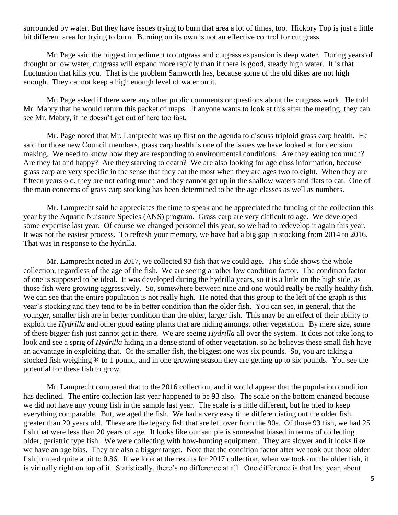surrounded by water. But they have issues trying to burn that area a lot of times, too. Hickory Top is just a little bit different area for trying to burn. Burning on its own is not an effective control for cut grass.

Mr. Page said the biggest impediment to cutgrass and cutgrass expansion is deep water. During years of drought or low water, cutgrass will expand more rapidly than if there is good, steady high water. It is that fluctuation that kills you. That is the problem Samworth has, because some of the old dikes are not high enough. They cannot keep a high enough level of water on it.

Mr. Page asked if there were any other public comments or questions about the cutgrass work. He told Mr. Mabry that he would return this packet of maps. If anyone wants to look at this after the meeting, they can see Mr. Mabry, if he doesn't get out of here too fast.

Mr. Page noted that Mr. Lamprecht was up first on the agenda to discuss triploid grass carp health. He said for those new Council members, grass carp health is one of the issues we have looked at for decision making. We need to know how they are responding to environmental conditions. Are they eating too much? Are they fat and happy? Are they starving to death? We are also looking for age class information, because grass carp are very specific in the sense that they eat the most when they are ages two to eight. When they are fifteen years old, they are not eating much and they cannot get up in the shallow waters and flats to eat. One of the main concerns of grass carp stocking has been determined to be the age classes as well as numbers.

Mr. Lamprecht said he appreciates the time to speak and he appreciated the funding of the collection this year by the Aquatic Nuisance Species (ANS) program. Grass carp are very difficult to age. We developed some expertise last year. Of course we changed personnel this year, so we had to redevelop it again this year. It was not the easiest process. To refresh your memory, we have had a big gap in stocking from 2014 to 2016. That was in response to the hydrilla.

Mr. Lamprecht noted in 2017, we collected 93 fish that we could age. This slide shows the whole collection, regardless of the age of the fish. We are seeing a rather low condition factor. The condition factor of one is supposed to be ideal. It was developed during the hydrilla years, so it is a little on the high side, as those fish were growing aggressively. So, somewhere between nine and one would really be really healthy fish. We can see that the entire population is not really high. He noted that this group to the left of the graph is this year's stocking and they tend to be in better condition than the older fish. You can see, in general, that the younger, smaller fish are in better condition than the older, larger fish. This may be an effect of their ability to exploit the *Hydrilla* and other good eating plants that are hiding amongst other vegetation. By mere size, some of these bigger fish just cannot get in there. We are seeing *Hydrilla* all over the system. It does not take long to look and see a sprig of *Hydrilla* hiding in a dense stand of other vegetation, so he believes these small fish have an advantage in exploiting that. Of the smaller fish, the biggest one was six pounds. So, you are taking a stocked fish weighing ¾ to 1 pound, and in one growing season they are getting up to six pounds. You see the potential for these fish to grow.

Mr. Lamprecht compared that to the 2016 collection, and it would appear that the population condition has declined. The entire collection last year happened to be 93 also. The scale on the bottom changed because we did not have any young fish in the sample last year. The scale is a little different, but he tried to keep everything comparable. But, we aged the fish. We had a very easy time differentiating out the older fish, greater than 20 years old. These are the legacy fish that are left over from the 90s. Of those 93 fish, we had 25 fish that were less than 20 years of age. It looks like our sample is somewhat biased in terms of collecting older, geriatric type fish. We were collecting with bow-hunting equipment. They are slower and it looks like we have an age bias. They are also a bigger target. Note that the condition factor after we took out those older fish jumped quite a bit to 0.86. If we look at the results for 2017 collection, when we took out the older fish, it is virtually right on top of it. Statistically, there's no difference at all. One difference is that last year, about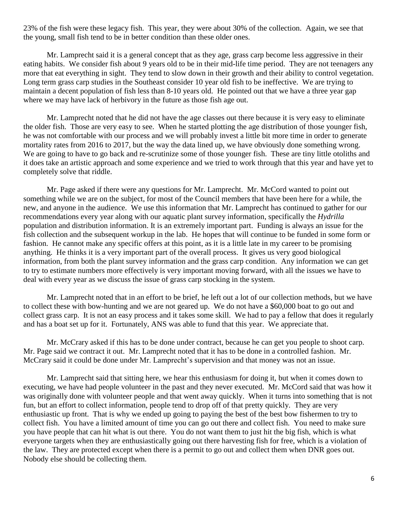23% of the fish were these legacy fish. This year, they were about 30% of the collection. Again, we see that the young, small fish tend to be in better condition than these older ones.

Mr. Lamprecht said it is a general concept that as they age, grass carp become less aggressive in their eating habits. We consider fish about 9 years old to be in their mid-life time period. They are not teenagers any more that eat everything in sight. They tend to slow down in their growth and their ability to control vegetation. Long term grass carp studies in the Southeast consider 10 year old fish to be ineffective. We are trying to maintain a decent population of fish less than 8-10 years old. He pointed out that we have a three year gap where we may have lack of herbivory in the future as those fish age out.

Mr. Lamprecht noted that he did not have the age classes out there because it is very easy to eliminate the older fish. Those are very easy to see. When he started plotting the age distribution of those younger fish, he was not comfortable with our process and we will probably invest a little bit more time in order to generate mortality rates from 2016 to 2017, but the way the data lined up, we have obviously done something wrong. We are going to have to go back and re-scrutinize some of those younger fish. These are tiny little otoliths and it does take an artistic approach and some experience and we tried to work through that this year and have yet to completely solve that riddle.

Mr. Page asked if there were any questions for Mr. Lamprecht. Mr. McCord wanted to point out something while we are on the subject, for most of the Council members that have been here for a while, the new, and anyone in the audience. We use this information that Mr. Lamprecht has continued to gather for our recommendations every year along with our aquatic plant survey information, specifically the *Hydrilla* population and distribution information. It is an extremely important part. Funding is always an issue for the fish collection and the subsequent workup in the lab. He hopes that will continue to be funded in some form or fashion. He cannot make any specific offers at this point, as it is a little late in my career to be promising anything. He thinks it is a very important part of the overall process. It gives us very good biological information, from both the plant survey information and the grass carp condition. Any information we can get to try to estimate numbers more effectively is very important moving forward, with all the issues we have to deal with every year as we discuss the issue of grass carp stocking in the system.

Mr. Lamprecht noted that in an effort to be brief, he left out a lot of our collection methods, but we have to collect these with bow-hunting and we are not geared up. We do not have a \$60,000 boat to go out and collect grass carp. It is not an easy process and it takes some skill. We had to pay a fellow that does it regularly and has a boat set up for it. Fortunately, ANS was able to fund that this year. We appreciate that.

Mr. McCrary asked if this has to be done under contract, because he can get you people to shoot carp. Mr. Page said we contract it out. Mr. Lamprecht noted that it has to be done in a controlled fashion. Mr. McCrary said it could be done under Mr. Lamprecht's supervision and that money was not an issue.

Mr. Lamprecht said that sitting here, we hear this enthusiasm for doing it, but when it comes down to executing, we have had people volunteer in the past and they never executed. Mr. McCord said that was how it was originally done with volunteer people and that went away quickly. When it turns into something that is not fun, but an effort to collect information, people tend to drop off of that pretty quickly. They are very enthusiastic up front. That is why we ended up going to paying the best of the best bow fishermen to try to collect fish. You have a limited amount of time you can go out there and collect fish. You need to make sure you have people that can hit what is out there. You do not want them to just hit the big fish, which is what everyone targets when they are enthusiastically going out there harvesting fish for free, which is a violation of the law. They are protected except when there is a permit to go out and collect them when DNR goes out. Nobody else should be collecting them.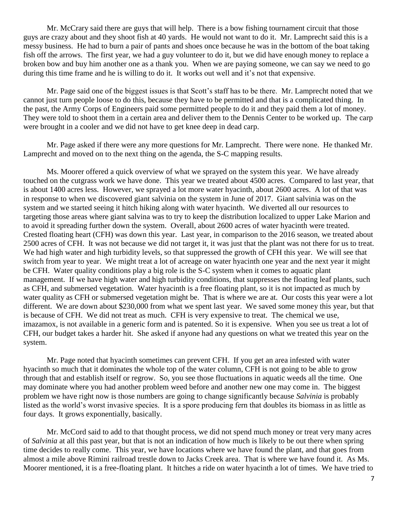Mr. McCrary said there are guys that will help. There is a bow fishing tournament circuit that those guys are crazy about and they shoot fish at 40 yards. He would not want to do it. Mr. Lamprecht said this is a messy business. He had to burn a pair of pants and shoes once because he was in the bottom of the boat taking fish off the arrows. The first year, we had a guy volunteer to do it, but we did have enough money to replace a broken bow and buy him another one as a thank you. When we are paying someone, we can say we need to go during this time frame and he is willing to do it. It works out well and it's not that expensive.

Mr. Page said one of the biggest issues is that Scott's staff has to be there. Mr. Lamprecht noted that we cannot just turn people loose to do this, because they have to be permitted and that is a complicated thing. In the past, the Army Corps of Engineers paid some permitted people to do it and they paid them a lot of money. They were told to shoot them in a certain area and deliver them to the Dennis Center to be worked up. The carp were brought in a cooler and we did not have to get knee deep in dead carp.

Mr. Page asked if there were any more questions for Mr. Lamprecht. There were none. He thanked Mr. Lamprecht and moved on to the next thing on the agenda, the S-C mapping results.

Ms. Moorer offered a quick overview of what we sprayed on the system this year. We have already touched on the cutgrass work we have done. This year we treated about 4500 acres. Compared to last year, that is about 1400 acres less. However, we sprayed a lot more water hyacinth, about 2600 acres. A lot of that was in response to when we discovered giant salvinia on the system in June of 2017. Giant salvinia was on the system and we started seeing it hitch hiking along with water hyacinth. We diverted all our resources to targeting those areas where giant salvina was to try to keep the distribution localized to upper Lake Marion and to avoid it spreading further down the system. Overall, about 2600 acres of water hyacinth were treated. Crested floating heart (CFH) was down this year. Last year, in comparison to the 2016 season, we treated about 2500 acres of CFH. It was not because we did not target it, it was just that the plant was not there for us to treat. We had high water and high turbidity levels, so that suppressed the growth of CFH this year. We will see that switch from year to year. We might treat a lot of acreage on water hyacinth one year and the next year it might be CFH. Water quality conditions play a big role is the S-C system when it comes to aquatic plant management. If we have high water and high turbidity conditions, that suppresses the floating leaf plants, such as CFH, and submersed vegetation. Water hyacinth is a free floating plant, so it is not impacted as much by water quality as CFH or submersed vegetation might be. That is where we are at. Our costs this year were a lot different. We are down about \$230,000 from what we spent last year. We saved some money this year, but that is because of CFH. We did not treat as much. CFH is very expensive to treat. The chemical we use, imazamox, is not available in a generic form and is patented. So it is expensive. When you see us treat a lot of CFH, our budget takes a harder hit. She asked if anyone had any questions on what we treated this year on the system.

Mr. Page noted that hyacinth sometimes can prevent CFH. If you get an area infested with water hyacinth so much that it dominates the whole top of the water column, CFH is not going to be able to grow through that and establish itself or regrow. So, you see those fluctuations in aquatic weeds all the time. One may dominate where you had another problem weed before and another new one may come in. The biggest problem we have right now is those numbers are going to change significantly because *Salvinia* is probably listed as the world's worst invasive species. It is a spore producing fern that doubles its biomass in as little as four days. It grows exponentially, basically.

Mr. McCord said to add to that thought process, we did not spend much money or treat very many acres of *Salvinia* at all this past year, but that is not an indication of how much is likely to be out there when spring time decides to really come. This year, we have locations where we have found the plant, and that goes from almost a mile above Rimini railroad trestle down to Jacks Creek area. That is where we have found it. As Ms. Moorer mentioned, it is a free-floating plant. It hitches a ride on water hyacinth a lot of times. We have tried to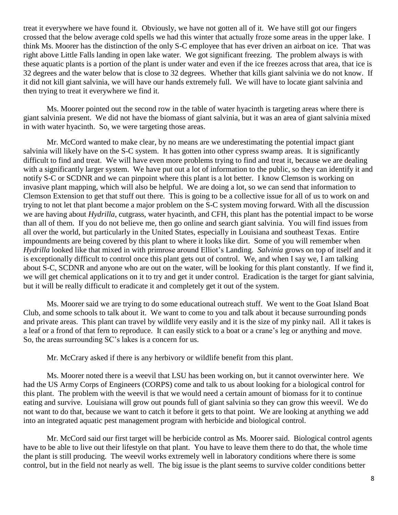treat it everywhere we have found it. Obviously, we have not gotten all of it. We have still got our fingers crossed that the below average cold spells we had this winter that actually froze some areas in the upper lake. I think Ms. Moorer has the distinction of the only S-C employee that has ever driven an airboat on ice. That was right above Little Falls landing in open lake water. We got significant freezing. The problem always is with these aquatic plants is a portion of the plant is under water and even if the ice freezes across that area, that ice is 32 degrees and the water below that is close to 32 degrees. Whether that kills giant salvinia we do not know. If it did not kill giant salvinia, we will have our hands extremely full. We will have to locate giant salvinia and then trying to treat it everywhere we find it.

Ms. Moorer pointed out the second row in the table of water hyacinth is targeting areas where there is giant salvinia present. We did not have the biomass of giant salvinia, but it was an area of giant salvinia mixed in with water hyacinth. So, we were targeting those areas.

Mr. McCord wanted to make clear, by no means are we underestimating the potential impact giant salvinia will likely have on the S-C system. It has gotten into other cypress swamp areas. It is significantly difficult to find and treat. We will have even more problems trying to find and treat it, because we are dealing with a significantly larger system. We have put out a lot of information to the public, so they can identify it and notify S-C or SCDNR and we can pinpoint where this plant is a lot better. I know Clemson is working on invasive plant mapping, which will also be helpful. We are doing a lot, so we can send that information to Clemson Extension to get that stuff out there. This is going to be a collective issue for all of us to work on and trying to not let that plant become a major problem on the S-C system moving forward. With all the discussion we are having about *Hydrilla*, cutgrass, water hyacinth, and CFH, this plant has the potential impact to be worse than all of them. If you do not believe me, then go online and search giant salvinia. You will find issues from all over the world, but particularly in the United States, especially in Louisiana and southeast Texas. Entire impoundments are being covered by this plant to where it looks like dirt. Some of you will remember when *Hydrilla* looked like that mixed in with primrose around Elliot's Landing. *Salvinia* grows on top of itself and it is exceptionally difficult to control once this plant gets out of control. We, and when I say we, I am talking about S-C, SCDNR and anyone who are out on the water, will be looking for this plant constantly. If we find it, we will get chemical applications on it to try and get it under control. Eradication is the target for giant salvinia, but it will be really difficult to eradicate it and completely get it out of the system.

Ms. Moorer said we are trying to do some educational outreach stuff. We went to the Goat Island Boat Club, and some schools to talk about it. We want to come to you and talk about it because surrounding ponds and private areas. This plant can travel by wildlife very easily and it is the size of my pinky nail. All it takes is a leaf or a frond of that fern to reproduce. It can easily stick to a boat or a crane's leg or anything and move. So, the areas surrounding SC's lakes is a concern for us.

Mr. McCrary asked if there is any herbivory or wildlife benefit from this plant.

Ms. Moorer noted there is a weevil that LSU has been working on, but it cannot overwinter here. We had the US Army Corps of Engineers (CORPS) come and talk to us about looking for a biological control for this plant. The problem with the weevil is that we would need a certain amount of biomass for it to continue eating and survive. Louisiana will grow out pounds full of giant salvinia so they can grow this weevil. We do not want to do that, because we want to catch it before it gets to that point. We are looking at anything we add into an integrated aquatic pest management program with herbicide and biological control.

Mr. McCord said our first target will be herbicide control as Ms. Moorer said. Biological control agents have to be able to live out their lifestyle on that plant. You have to leave them there to do that, the whole time the plant is still producing. The weevil works extremely well in laboratory conditions where there is some control, but in the field not nearly as well. The big issue is the plant seems to survive colder conditions better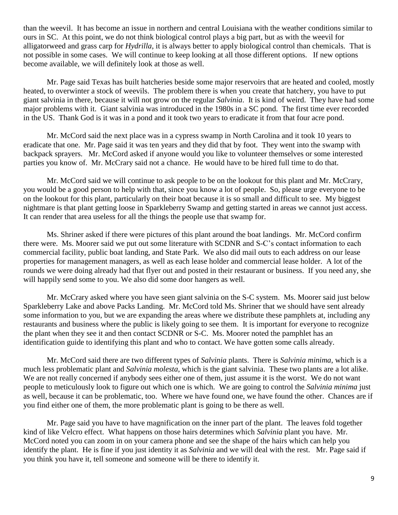than the weevil. It has become an issue in northern and central Louisiana with the weather conditions similar to ours in SC. At this point, we do not think biological control plays a big part, but as with the weevil for alligatorweed and grass carp for *Hydrilla*, it is always better to apply biological control than chemicals. That is not possible in some cases. We will continue to keep looking at all those different options. If new options become available, we will definitely look at those as well.

Mr. Page said Texas has built hatcheries beside some major reservoirs that are heated and cooled, mostly heated, to overwinter a stock of weevils. The problem there is when you create that hatchery, you have to put giant salvinia in there, because it will not grow on the regular *Salvinia*. It is kind of weird. They have had some major problems with it. Giant salvinia was introduced in the 1980s in a SC pond. The first time ever recorded in the US. Thank God is it was in a pond and it took two years to eradicate it from that four acre pond.

Mr. McCord said the next place was in a cypress swamp in North Carolina and it took 10 years to eradicate that one. Mr. Page said it was ten years and they did that by foot. They went into the swamp with backpack sprayers. Mr. McCord asked if anyone would you like to volunteer themselves or some interested parties you know of. Mr. McCrary said not a chance. He would have to be hired full time to do that.

Mr. McCord said we will continue to ask people to be on the lookout for this plant and Mr. McCrary, you would be a good person to help with that, since you know a lot of people. So, please urge everyone to be on the lookout for this plant, particularly on their boat because it is so small and difficult to see. My biggest nightmare is that plant getting loose in Sparkleberry Swamp and getting started in areas we cannot just access. It can render that area useless for all the things the people use that swamp for.

Ms. Shriner asked if there were pictures of this plant around the boat landings. Mr. McCord confirm there were. Ms. Moorer said we put out some literature with SCDNR and S-C's contact information to each commercial facility, public boat landing, and State Park. We also did mail outs to each address on our lease properties for management managers, as well as each lease holder and commercial lease holder. A lot of the rounds we were doing already had that flyer out and posted in their restaurant or business. If you need any, she will happily send some to you. We also did some door hangers as well.

Mr. McCrary asked where you have seen giant salvinia on the S-C system. Ms. Moorer said just below Sparkleberry Lake and above Packs Landing. Mr. McCord told Ms. Shriner that we should have sent already some information to you, but we are expanding the areas where we distribute these pamphlets at, including any restaurants and business where the public is likely going to see them. It is important for everyone to recognize the plant when they see it and then contact SCDNR or S-C. Ms. Moorer noted the pamphlet has an identification guide to identifying this plant and who to contact. We have gotten some calls already.

Mr. McCord said there are two different types of *Salvinia* plants. There is *Salvinia minima*, which is a much less problematic plant and *Salvinia molesta*, which is the giant salvinia. These two plants are a lot alike. We are not really concerned if anybody sees either one of them, just assume it is the worst. We do not want people to meticulously look to figure out which one is which. We are going to control the *Salvinia minima* just as well, because it can be problematic, too. Where we have found one, we have found the other. Chances are if you find either one of them, the more problematic plant is going to be there as well.

Mr. Page said you have to have magnification on the inner part of the plant. The leaves fold together kind of like Velcro effect. What happens on those hairs determines which *Salvinia* plant you have. Mr. McCord noted you can zoom in on your camera phone and see the shape of the hairs which can help you identify the plant. He is fine if you just identity it as *Salvinia* and we will deal with the rest. Mr. Page said if you think you have it, tell someone and someone will be there to identify it.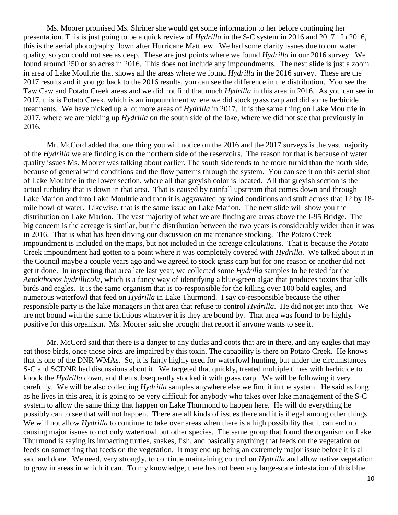Ms. Moorer promised Ms. Shriner she would get some information to her before continuing her presentation. This is just going to be a quick review of *Hydrilla* in the S-C system in 2016 and 2017. In 2016, this is the aerial photography flown after Hurricane Matthew. We had some clarity issues due to our water quality, so you could not see as deep. These are just points where we found *Hydrilla* in our 2016 survey. We found around 250 or so acres in 2016. This does not include any impoundments. The next slide is just a zoom in area of Lake Moultrie that shows all the areas where we found *Hydrilla* in the 2016 survey. These are the 2017 results and if you go back to the 2016 results, you can see the difference in the distribution. You see the Taw Caw and Potato Creek areas and we did not find that much *Hydrilla* in this area in 2016. As you can see in 2017, this is Potato Creek, which is an impoundment where we did stock grass carp and did some herbicide treatments. We have picked up a lot more areas of *Hydrilla* in 2017. It is the same thing on Lake Moultrie in 2017, where we are picking up *Hydrilla* on the south side of the lake, where we did not see that previously in 2016.

Mr. McCord added that one thing you will notice on the 2016 and the 2017 surveys is the vast majority of the *Hydrilla* we are finding is on the northern side of the reservoirs. The reason for that is because of water quality issues Ms. Moorer was talking about earlier. The south side tends to be more turbid than the north side, because of general wind conditions and the flow patterns through the system. You can see it on this aerial shot of Lake Moultrie in the lower section, where all that greyish color is located. All that greyish section is the actual turbidity that is down in that area. That is caused by rainfall upstream that comes down and through Lake Marion and into Lake Moultrie and then it is aggravated by wind conditions and stuff across that 12 by 18 mile bowl of water. Likewise, that is the same issue on Lake Marion. The next slide will show you the distribution on Lake Marion. The vast majority of what we are finding are areas above the I-95 Bridge. The big concern is the acreage is similar, but the distribution between the two years is considerably wider than it was in 2016. That is what has been driving our discussion on maintenance stocking. The Potato Creek impoundment is included on the maps, but not included in the acreage calculations. That is because the Potato Creek impoundment had gotten to a point where it was completely covered with *Hydrilla*. We talked about it in the Council maybe a couple years ago and we agreed to stock grass carp but for one reason or another did not get it done. In inspecting that area late last year, we collected some *Hydrilla* samples to be tested for the *Aetokthonos hydrillicola*, which is a fancy way of identifying a blue-green algae that produces toxins that kills birds and eagles. It is the same organism that is co-responsible for the killing over 100 bald eagles, and numerous waterfowl that feed on *Hydrilla* in Lake Thurmond. I say co-responsible because the other responsible party is the lake managers in that area that refuse to control *Hydrilla*. He did not get into that. We are not bound with the same fictitious whatever it is they are bound by. That area was found to be highly positive for this organism. Ms. Moorer said she brought that report if anyone wants to see it.

Mr. McCord said that there is a danger to any ducks and coots that are in there, and any eagles that may eat those birds, once those birds are impaired by this toxin. The capability is there on Potato Creek. He knows that is one of the DNR WMAs. So, it is fairly highly used for waterfowl hunting, but under the circumstances S-C and SCDNR had discussions about it. We targeted that quickly, treated multiple times with herbicide to knock the *Hydrilla* down, and then subsequently stocked it with grass carp. We will be following it very carefully. We will be also collecting *Hydrilla* samples anywhere else we find it in the system. He said as long as he lives in this area, it is going to be very difficult for anybody who takes over lake management of the S-C system to allow the same thing that happen on Lake Thurmond to happen here. He will do everything he possibly can to see that will not happen. There are all kinds of issues there and it is illegal among other things. We will not allow *Hydrilla* to continue to take over areas when there is a high possibility that it can end up causing major issues to not only waterfowl but other species. The same group that found the organism on Lake Thurmond is saying its impacting turtles, snakes, fish, and basically anything that feeds on the vegetation or feeds on something that feeds on the vegetation. It may end up being an extremely major issue before it is all said and done. We need, very strongly, to continue maintaining control on *Hydrilla* and allow native vegetation to grow in areas in which it can. To my knowledge, there has not been any large-scale infestation of this blue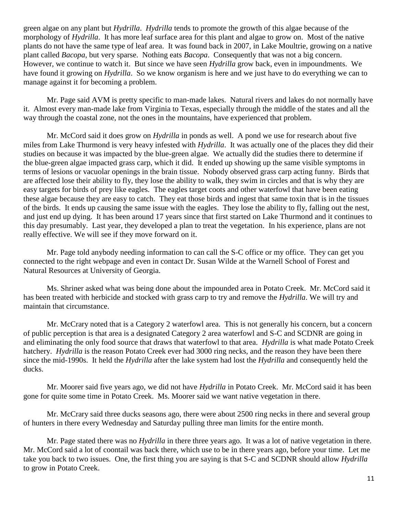green algae on any plant but *Hydrilla*. *Hydrilla* tends to promote the growth of this algae because of the morphology of *Hydrilla*. It has more leaf surface area for this plant and algae to grow on. Most of the native plants do not have the same type of leaf area. It was found back in 2007, in Lake Moultrie, growing on a native plant called *Bacopa*, but very sparse. Nothing eats *Bacopa*. Consequently that was not a big concern. However, we continue to watch it. But since we have seen *Hydrilla* grow back, even in impoundments. We have found it growing on *Hydrilla*. So we know organism is here and we just have to do everything we can to manage against it for becoming a problem.

Mr. Page said AVM is pretty specific to man-made lakes. Natural rivers and lakes do not normally have it. Almost every man-made lake from Virginia to Texas, especially through the middle of the states and all the way through the coastal zone, not the ones in the mountains, have experienced that problem.

Mr. McCord said it does grow on *Hydrilla* in ponds as well. A pond we use for research about five miles from Lake Thurmond is very heavy infested with *Hydrilla*. It was actually one of the places they did their studies on because it was impacted by the blue-green algae. We actually did the studies there to determine if the blue-green algae impacted grass carp, which it did. It ended up showing up the same visible symptoms in terms of lesions or vacuolar openings in the brain tissue. Nobody observed grass carp acting funny. Birds that are affected lose their ability to fly, they lose the ability to walk, they swim in circles and that is why they are easy targets for birds of prey like eagles. The eagles target coots and other waterfowl that have been eating these algae because they are easy to catch. They eat those birds and ingest that same toxin that is in the tissues of the birds. It ends up causing the same issue with the eagles. They lose the ability to fly, falling out the nest, and just end up dying. It has been around 17 years since that first started on Lake Thurmond and it continues to this day presumably. Last year, they developed a plan to treat the vegetation. In his experience, plans are not really effective. We will see if they move forward on it.

Mr. Page told anybody needing information to can call the S-C office or my office. They can get you connected to the right webpage and even in contact Dr. Susan Wilde at the Warnell School of Forest and Natural Resources at University of Georgia.

Ms. Shriner asked what was being done about the impounded area in Potato Creek. Mr. McCord said it has been treated with herbicide and stocked with grass carp to try and remove the *Hydrilla*. We will try and maintain that circumstance.

Mr. McCrary noted that is a Category 2 waterfowl area. This is not generally his concern, but a concern of public perception is that area is a designated Category 2 area waterfowl and S-C and SCDNR are going in and eliminating the only food source that draws that waterfowl to that area. *Hydrilla* is what made Potato Creek hatchery. *Hydrilla* is the reason Potato Creek ever had 3000 ring necks, and the reason they have been there since the mid-1990s. It held the *Hydrilla* after the lake system had lost the *Hydrilla* and consequently held the ducks.

Mr. Moorer said five years ago, we did not have *Hydrilla* in Potato Creek. Mr. McCord said it has been gone for quite some time in Potato Creek. Ms. Moorer said we want native vegetation in there.

Mr. McCrary said three ducks seasons ago, there were about 2500 ring necks in there and several group of hunters in there every Wednesday and Saturday pulling three man limits for the entire month.

Mr. Page stated there was no *Hydrilla* in there three years ago. It was a lot of native vegetation in there. Mr. McCord said a lot of coontail was back there, which use to be in there years ago, before your time. Let me take you back to two issues. One, the first thing you are saying is that S-C and SCDNR should allow *Hydrilla* to grow in Potato Creek.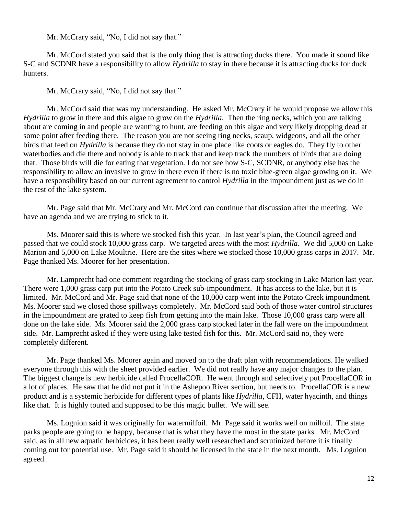Mr. McCrary said, "No, I did not say that."

Mr. McCord stated you said that is the only thing that is attracting ducks there. You made it sound like S-C and SCDNR have a responsibility to allow *Hydrilla* to stay in there because it is attracting ducks for duck hunters.

Mr. McCrary said, "No, I did not say that."

Mr. McCord said that was my understanding. He asked Mr. McCrary if he would propose we allow this *Hydrilla* to grow in there and this algae to grow on the *Hydrilla*. Then the ring necks, which you are talking about are coming in and people are wanting to hunt, are feeding on this algae and very likely dropping dead at some point after feeding there. The reason you are not seeing ring necks, scaup, widgeons, and all the other birds that feed on *Hydrilla* is because they do not stay in one place like coots or eagles do. They fly to other waterbodies and die there and nobody is able to track that and keep track the numbers of birds that are doing that. Those birds will die for eating that vegetation. I do not see how S-C, SCDNR, or anybody else has the responsibility to allow an invasive to grow in there even if there is no toxic blue-green algae growing on it. We have a responsibility based on our current agreement to control *Hydrilla* in the impoundment just as we do in the rest of the lake system.

Mr. Page said that Mr. McCrary and Mr. McCord can continue that discussion after the meeting. We have an agenda and we are trying to stick to it.

Ms. Moorer said this is where we stocked fish this year. In last year's plan, the Council agreed and passed that we could stock 10,000 grass carp. We targeted areas with the most *Hydrilla*. We did 5,000 on Lake Marion and 5,000 on Lake Moultrie. Here are the sites where we stocked those 10,000 grass carps in 2017. Mr. Page thanked Ms. Moorer for her presentation.

Mr. Lamprecht had one comment regarding the stocking of grass carp stocking in Lake Marion last year. There were 1,000 grass carp put into the Potato Creek sub-impoundment. It has access to the lake, but it is limited. Mr. McCord and Mr. Page said that none of the 10,000 carp went into the Potato Creek impoundment. Ms. Moorer said we closed those spillways completely. Mr. McCord said both of those water control structures in the impoundment are grated to keep fish from getting into the main lake. Those 10,000 grass carp were all done on the lake side. Ms. Moorer said the 2,000 grass carp stocked later in the fall were on the impoundment side. Mr. Lamprecht asked if they were using lake tested fish for this. Mr. McCord said no, they were completely different.

Mr. Page thanked Ms. Moorer again and moved on to the draft plan with recommendations. He walked everyone through this with the sheet provided earlier. We did not really have any major changes to the plan. The biggest change is new herbicide called ProcellaCOR. He went through and selectively put ProcellaCOR in a lot of places. He saw that he did not put it in the Ashepoo River section, but needs to. ProcellaCOR is a new product and is a systemic herbicide for different types of plants like *Hydrilla*, CFH, water hyacinth, and things like that. It is highly touted and supposed to be this magic bullet. We will see.

Ms. Lognion said it was originally for watermilfoil. Mr. Page said it works well on milfoil. The state parks people are going to be happy, because that is what they have the most in the state parks. Mr. McCord said, as in all new aquatic herbicides, it has been really well researched and scrutinized before it is finally coming out for potential use. Mr. Page said it should be licensed in the state in the next month. Ms. Lognion agreed.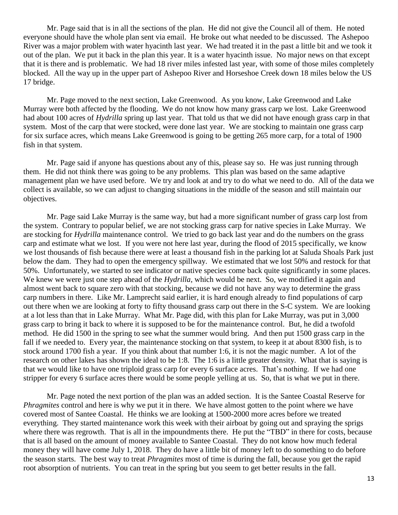Mr. Page said that is in all the sections of the plan. He did not give the Council all of them. He noted everyone should have the whole plan sent via email. He broke out what needed to be discussed. The Ashepoo River was a major problem with water hyacinth last year. We had treated it in the past a little bit and we took it out of the plan. We put it back in the plan this year. It is a water hyacinth issue. No major news on that except that it is there and is problematic. We had 18 river miles infested last year, with some of those miles completely blocked. All the way up in the upper part of Ashepoo River and Horseshoe Creek down 18 miles below the US 17 bridge.

Mr. Page moved to the next section, Lake Greenwood. As you know, Lake Greenwood and Lake Murray were both affected by the flooding. We do not know how many grass carp we lost. Lake Greenwood had about 100 acres of *Hydrilla* spring up last year. That told us that we did not have enough grass carp in that system. Most of the carp that were stocked, were done last year. We are stocking to maintain one grass carp for six surface acres, which means Lake Greenwood is going to be getting 265 more carp, for a total of 1900 fish in that system.

Mr. Page said if anyone has questions about any of this, please say so. He was just running through them. He did not think there was going to be any problems. This plan was based on the same adaptive management plan we have used before. We try and look at and try to do what we need to do. All of the data we collect is available, so we can adjust to changing situations in the middle of the season and still maintain our objectives.

Mr. Page said Lake Murray is the same way, but had a more significant number of grass carp lost from the system. Contrary to popular belief, we are not stocking grass carp for native species in Lake Murray. We are stocking for *Hydrilla* maintenance control. We tried to go back last year and do the numbers on the grass carp and estimate what we lost. If you were not here last year, during the flood of 2015 specifically, we know we lost thousands of fish because there were at least a thousand fish in the parking lot at Saluda Shoals Park just below the dam. They had to open the emergency spillway. We estimated that we lost 50% and restock for that 50%. Unfortunately, we started to see indicator or native species come back quite significantly in some places. We knew we were just one step ahead of the *Hydrilla*, which would be next. So, we modified it again and almost went back to square zero with that stocking, because we did not have any way to determine the grass carp numbers in there. Like Mr. Lamprecht said earlier, it is hard enough already to find populations of carp out there when we are looking at forty to fifty thousand grass carp out there in the S-C system. We are looking at a lot less than that in Lake Murray. What Mr. Page did, with this plan for Lake Murray, was put in 3,000 grass carp to bring it back to where it is supposed to be for the maintenance control. But, he did a twofold method. He did 1500 in the spring to see what the summer would bring. And then put 1500 grass carp in the fall if we needed to. Every year, the maintenance stocking on that system, to keep it at about 8300 fish, is to stock around 1700 fish a year. If you think about that number 1:6, it is not the magic number. A lot of the research on other lakes has shown the ideal to be 1:8. The 1:6 is a little greater density. What that is saying is that we would like to have one triploid grass carp for every 6 surface acres. That's nothing. If we had one stripper for every 6 surface acres there would be some people yelling at us. So, that is what we put in there.

Mr. Page noted the next portion of the plan was an added section. It is the Santee Coastal Reserve for *Phragmites* control and here is why we put it in there. We have almost gotten to the point where we have covered most of Santee Coastal. He thinks we are looking at 1500-2000 more acres before we treated everything. They started maintenance work this week with their airboat by going out and spraying the sprigs where there was regrowth. That is all in the impoundments there. He put the "TBD" in there for costs, because that is all based on the amount of money available to Santee Coastal. They do not know how much federal money they will have come July 1, 2018. They do have a little bit of money left to do something to do before the season starts. The best way to treat *Phragmites* most of time is during the fall, because you get the rapid root absorption of nutrients. You can treat in the spring but you seem to get better results in the fall.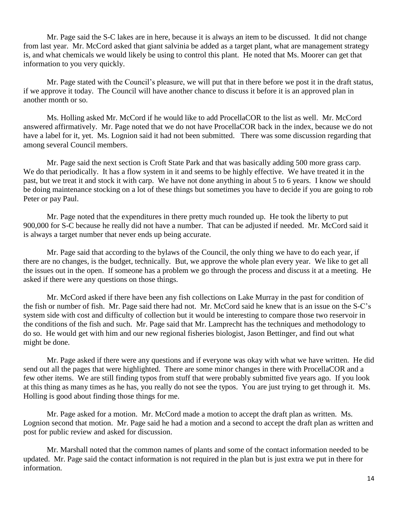Mr. Page said the S-C lakes are in here, because it is always an item to be discussed. It did not change from last year. Mr. McCord asked that giant salvinia be added as a target plant, what are management strategy is, and what chemicals we would likely be using to control this plant. He noted that Ms. Moorer can get that information to you very quickly.

Mr. Page stated with the Council's pleasure, we will put that in there before we post it in the draft status, if we approve it today. The Council will have another chance to discuss it before it is an approved plan in another month or so.

Ms. Holling asked Mr. McCord if he would like to add ProcellaCOR to the list as well. Mr. McCord answered affirmatively. Mr. Page noted that we do not have ProcellaCOR back in the index, because we do not have a label for it, yet. Ms. Lognion said it had not been submitted. There was some discussion regarding that among several Council members.

Mr. Page said the next section is Croft State Park and that was basically adding 500 more grass carp. We do that periodically. It has a flow system in it and seems to be highly effective. We have treated it in the past, but we treat it and stock it with carp. We have not done anything in about 5 to 6 years. I know we should be doing maintenance stocking on a lot of these things but sometimes you have to decide if you are going to rob Peter or pay Paul.

Mr. Page noted that the expenditures in there pretty much rounded up. He took the liberty to put 900,000 for S-C because he really did not have a number. That can be adjusted if needed. Mr. McCord said it is always a target number that never ends up being accurate.

Mr. Page said that according to the bylaws of the Council, the only thing we have to do each year, if there are no changes, is the budget, technically. But, we approve the whole plan every year. We like to get all the issues out in the open. If someone has a problem we go through the process and discuss it at a meeting. He asked if there were any questions on those things.

Mr. McCord asked if there have been any fish collections on Lake Murray in the past for condition of the fish or number of fish. Mr. Page said there had not. Mr. McCord said he knew that is an issue on the S-C's system side with cost and difficulty of collection but it would be interesting to compare those two reservoir in the conditions of the fish and such. Mr. Page said that Mr. Lamprecht has the techniques and methodology to do so. He would get with him and our new regional fisheries biologist, Jason Bettinger, and find out what might be done.

Mr. Page asked if there were any questions and if everyone was okay with what we have written. He did send out all the pages that were highlighted. There are some minor changes in there with ProcellaCOR and a few other items. We are still finding typos from stuff that were probably submitted five years ago. If you look at this thing as many times as he has, you really do not see the typos. You are just trying to get through it. Ms. Holling is good about finding those things for me.

Mr. Page asked for a motion. Mr. McCord made a motion to accept the draft plan as written. Ms. Lognion second that motion. Mr. Page said he had a motion and a second to accept the draft plan as written and post for public review and asked for discussion.

Mr. Marshall noted that the common names of plants and some of the contact information needed to be updated. Mr. Page said the contact information is not required in the plan but is just extra we put in there for information.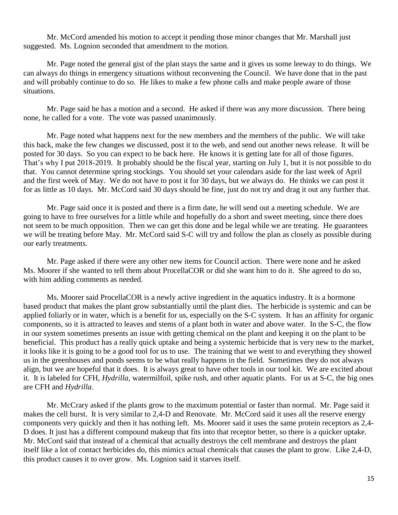Mr. McCord amended his motion to accept it pending those minor changes that Mr. Marshall just suggested. Ms. Lognion seconded that amendment to the motion.

Mr. Page noted the general gist of the plan stays the same and it gives us some leeway to do things. We can always do things in emergency situations without reconvening the Council. We have done that in the past and will probably continue to do so. He likes to make a few phone calls and make people aware of those situations.

Mr. Page said he has a motion and a second. He asked if there was any more discussion. There being none, he called for a vote. The vote was passed unanimously.

Mr. Page noted what happens next for the new members and the members of the public. We will take this back, make the few changes we discussed, post it to the web, and send out another news release. It will be posted for 30 days. So you can expect to be back here. He knows it is getting late for all of those figures. That's why I put 2018-2019. It probably should be the fiscal year, starting on July 1, but it is not possible to do that. You cannot determine spring stockings. You should set your calendars aside for the last week of April and the first week of May. We do not have to post it for 30 days, but we always do. He thinks we can post it for as little as 10 days. Mr. McCord said 30 days should be fine, just do not try and drag it out any further that.

Mr. Page said once it is posted and there is a firm date, he will send out a meeting schedule. We are going to have to free ourselves for a little while and hopefully do a short and sweet meeting, since there does not seem to be much opposition. Then we can get this done and be legal while we are treating. He guarantees we will be treating before May. Mr. McCord said S-C will try and follow the plan as closely as possible during our early treatments.

Mr. Page asked if there were any other new items for Council action. There were none and he asked Ms. Moorer if she wanted to tell them about ProcellaCOR or did she want him to do it. She agreed to do so, with him adding comments as needed.

Ms. Moorer said ProcellaCOR is a newly active ingredient in the aquatics industry. It is a hormone based product that makes the plant grow substantially until the plant dies. The herbicide is systemic and can be applied foliarly or in water, which is a benefit for us, especially on the S-C system. It has an affinity for organic components, so it is attracted to leaves and stems of a plant both in water and above water. In the S-C, the flow in our system sometimes presents an issue with getting chemical on the plant and keeping it on the plant to be beneficial. This product has a really quick uptake and being a systemic herbicide that is very new to the market, it looks like it is going to be a good tool for us to use. The training that we went to and everything they showed us in the greenhouses and ponds seems to be what really happens in the field. Sometimes they do not always align, but we are hopeful that it does. It is always great to have other tools in our tool kit. We are excited about it. It is labeled for CFH, *Hydrilla*, watermilfoil, spike rush, and other aquatic plants. For us at S-C, the big ones are CFH and *Hydrilla*.

Mr. McCrary asked if the plants grow to the maximum potential or faster than normal. Mr. Page said it makes the cell burst. It is very similar to 2,4-D and Renovate. Mr. McCord said it uses all the reserve energy components very quickly and then it has nothing left. Ms. Moorer said it uses the same protein receptors as 2,4- D does. It just has a different compound makeup that fits into that receptor better, so there is a quicker uptake. Mr. McCord said that instead of a chemical that actually destroys the cell membrane and destroys the plant itself like a lot of contact herbicides do, this mimics actual chemicals that causes the plant to grow. Like 2,4-D, this product causes it to over grow. Ms. Lognion said it starves itself.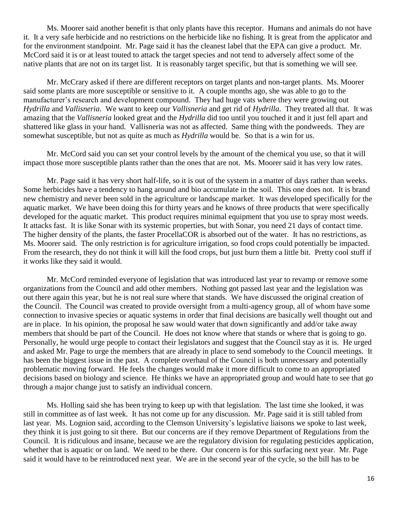Ms. Moorer said another benefit is that only plants have this receptor. Humans and animals do not have it. It a very safe herbicide and no restrictions on the herbicide like no fishing. It is great from the applicator and for the environment standpoint. Mr. Page said it has the cleanest label that the EPA can give a product. Mr. McCord said it is or at least touted to attack the target species and not tend to adversely affect some of the native plants that are not on its target list. It is reasonably target specific, but that is something we will see.

Mr. McCrary asked if there are different receptors on target plants and non-target plants. Ms. Moorer said some plants are more susceptible or sensitive to it. A couple months ago, she was able to go to the manufacturer's research and development compound. They had huge vats where they were growing out *Hydrilla* and *Vallisneria*. We want to keep our *Vallisneria* and get rid of *Hydrilla*. They treated all that. It was amazing that the *Vallisneria* looked great and the *Hydrilla* did too until you touched it and it just fell apart and shattered like glass in your hand. Vallisneria was not as affected. Same thing with the pondweeds. They are somewhat susceptible, but not as quite as much as *Hydrilla* would be. So that is a win for us.

Mr. McCord said you can set your control levels by the amount of the chemical you use, so that it will impact those more susceptible plants rather than the ones that are not. Ms. Moorer said it has very low rates.

Mr. Page said it has very short half-life, so it is out of the system in a matter of days rather than weeks. Some herbicides have a tendency to hang around and bio accumulate in the soil. This one does not. It is brand new chemistry and never been sold in the agriculture or landscape market. It was developed specifically for the aquatic market. We have been doing this for thirty years and he knows of three products that were specifically developed for the aquatic market. This product requires minimal equipment that you use to spray most weeds. It attacks fast. It is like Sonar with its systemic properties, but with Sonar, you need 21 days of contact time. The higher density of the plants, the faster ProcellaCOR is absorbed out of the water. It has no restrictions, as Ms. Moorer said. The only restriction is for agriculture irrigation, so food crops could potentially be impacted. From the research, they do not think it will kill the food crops, but just burn them a little bit. Pretty cool stuff if it works like they said it would.

Mr. McCord reminded everyone of legislation that was introduced last year to revamp or remove some organizations from the Council and add other members. Nothing got passed last year and the legislation was out there again this year, but he is not real sure where that stands. We have discussed the original creation of the Council. The Council was created to provide oversight from a multi-agency group, all of whom have some connection to invasive species or aquatic systems in order that final decisions are basically well thought out and are in place. In his opinion, the proposal he saw would water that down significantly and add/or take away members that should be part of the Council. He does not know where that stands or where that is going to go. Personally, he would urge people to contact their legislators and suggest that the Council stay as it is. He urged and asked Mr. Page to urge the members that are already in place to send somebody to the Council meetings. It has been the biggest issue in the past. A complete overhaul of the Council is both unnecessary and potentially problematic moving forward. He feels the changes would make it more difficult to come to an appropriated decisions based on biology and science. He thinks we have an appropriated group and would hate to see that go through a major change just to satisfy an individual concern.

Ms. Holling said she has been trying to keep up with that legislation. The last time she looked, it was still in committee as of last week. It has not come up for any discussion. Mr. Page said it is still tabled from last year. Ms. Lognion said, according to the Clemson University's legislative liaisons we spoke to last week, they think it is just going to sit there. But our concerns are if they remove Department of Regulations from the Council. It is ridiculous and insane, because we are the regulatory division for regulating pesticides application, whether that is aquatic or on land. We need to be there. Our concern is for this surfacing next year. Mr. Page said it would have to be reintroduced next year. We are in the second year of the cycle, so the bill has to be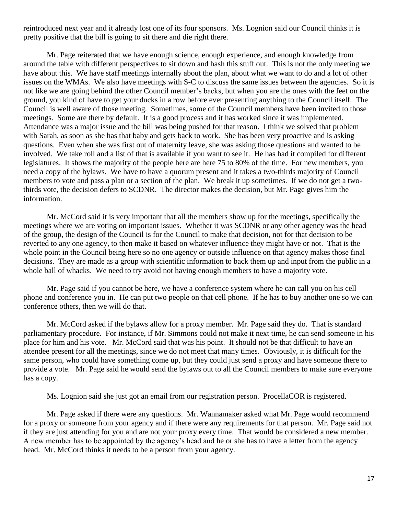reintroduced next year and it already lost one of its four sponsors. Ms. Lognion said our Council thinks it is pretty positive that the bill is going to sit there and die right there.

Mr. Page reiterated that we have enough science, enough experience, and enough knowledge from around the table with different perspectives to sit down and hash this stuff out. This is not the only meeting we have about this. We have staff meetings internally about the plan, about what we want to do and a lot of other issues on the WMAs. We also have meetings with S-C to discuss the same issues between the agencies. So it is not like we are going behind the other Council member's backs, but when you are the ones with the feet on the ground, you kind of have to get your ducks in a row before ever presenting anything to the Council itself. The Council is well aware of those meeting. Sometimes, some of the Council members have been invited to those meetings. Some are there by default. It is a good process and it has worked since it was implemented. Attendance was a major issue and the bill was being pushed for that reason. I think we solved that problem with Sarah, as soon as she has that baby and gets back to work. She has been very proactive and is asking questions. Even when she was first out of maternity leave, she was asking those questions and wanted to be involved. We take roll and a list of that is available if you want to see it. He has had it compiled for different legislatures. It shows the majority of the people here are here 75 to 80% of the time. For new members, you need a copy of the bylaws. We have to have a quorum present and it takes a two-thirds majority of Council members to vote and pass a plan or a section of the plan. We break it up sometimes. If we do not get a twothirds vote, the decision defers to SCDNR. The director makes the decision, but Mr. Page gives him the information.

Mr. McCord said it is very important that all the members show up for the meetings, specifically the meetings where we are voting on important issues. Whether it was SCDNR or any other agency was the head of the group, the design of the Council is for the Council to make that decision, not for that decision to be reverted to any one agency, to then make it based on whatever influence they might have or not. That is the whole point in the Council being here so no one agency or outside influence on that agency makes those final decisions. They are made as a group with scientific information to back them up and input from the public in a whole ball of whacks. We need to try avoid not having enough members to have a majority vote.

Mr. Page said if you cannot be here, we have a conference system where he can call you on his cell phone and conference you in. He can put two people on that cell phone. If he has to buy another one so we can conference others, then we will do that.

Mr. McCord asked if the bylaws allow for a proxy member. Mr. Page said they do. That is standard parliamentary procedure. For instance, if Mr. Simmons could not make it next time, he can send someone in his place for him and his vote. Mr. McCord said that was his point. It should not be that difficult to have an attendee present for all the meetings, since we do not meet that many times. Obviously, it is difficult for the same person, who could have something come up, but they could just send a proxy and have someone there to provide a vote. Mr. Page said he would send the bylaws out to all the Council members to make sure everyone has a copy.

Ms. Lognion said she just got an email from our registration person. ProcellaCOR is registered.

Mr. Page asked if there were any questions. Mr. Wannamaker asked what Mr. Page would recommend for a proxy or someone from your agency and if there were any requirements for that person. Mr. Page said not if they are just attending for you and are not your proxy every time. That would be considered a new member. A new member has to be appointed by the agency's head and he or she has to have a letter from the agency head. Mr. McCord thinks it needs to be a person from your agency.